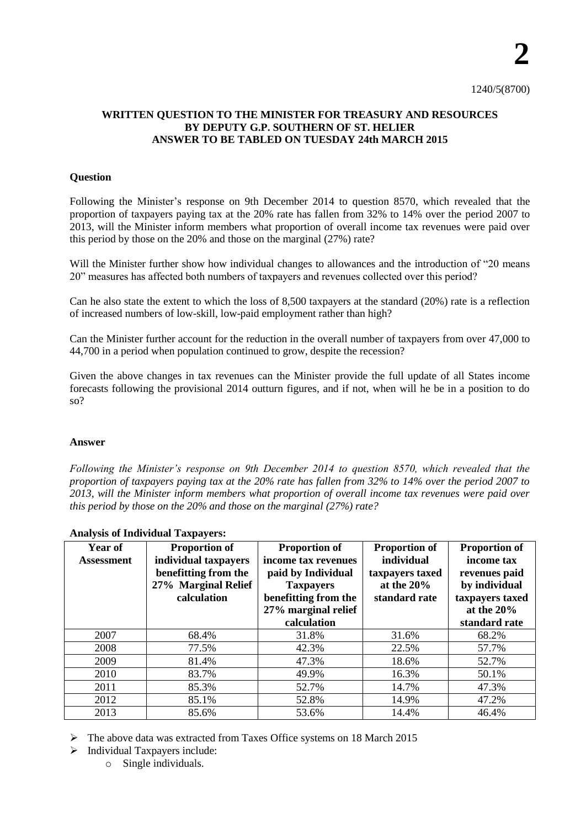## **WRITTEN QUESTION TO THE MINISTER FOR TREASURY AND RESOURCES BY DEPUTY G.P. SOUTHERN OF ST. HELIER ANSWER TO BE TABLED ON TUESDAY 24th MARCH 2015**

### **Question**

Following the Minister's response on 9th December 2014 to question 8570, which revealed that the proportion of taxpayers paying tax at the 20% rate has fallen from 32% to 14% over the period 2007 to 2013, will the Minister inform members what proportion of overall income tax revenues were paid over this period by those on the 20% and those on the marginal (27%) rate?

Will the Minister further show how individual changes to allowances and the introduction of "20 means" 20" measures has affected both numbers of taxpayers and revenues collected over this period?

Can he also state the extent to which the loss of 8,500 taxpayers at the standard (20%) rate is a reflection of increased numbers of low-skill, low-paid employment rather than high?

Can the Minister further account for the reduction in the overall number of taxpayers from over 47,000 to 44,700 in a period when population continued to grow, despite the recession?

Given the above changes in tax revenues can the Minister provide the full update of all States income forecasts following the provisional 2014 outturn figures, and if not, when will he be in a position to do so?

### **Answer**

*Following the Minister's response on 9th December 2014 to question 8570, which revealed that the proportion of taxpayers paying tax at the 20% rate has fallen from 32% to 14% over the period 2007 to 2013, will the Minister inform members what proportion of overall income tax revenues were paid over this period by those on the 20% and those on the marginal (27%) rate?*

| $\mathbf{r}$      |                      |                      |                      |                      |  |  |  |  |  |  |  |
|-------------------|----------------------|----------------------|----------------------|----------------------|--|--|--|--|--|--|--|
| <b>Year of</b>    | <b>Proportion of</b> | <b>Proportion of</b> | <b>Proportion of</b> | <b>Proportion of</b> |  |  |  |  |  |  |  |
| <b>Assessment</b> | individual taxpayers | income tax revenues  | individual           | income tax           |  |  |  |  |  |  |  |
|                   | benefitting from the | paid by Individual   | taxpayers taxed      | revenues paid        |  |  |  |  |  |  |  |
|                   | 27% Marginal Relief  | <b>Taxpayers</b>     | at the $20\%$        | by individual        |  |  |  |  |  |  |  |
|                   | calculation          | benefitting from the | standard rate        | taxpayers taxed      |  |  |  |  |  |  |  |
|                   |                      | 27% marginal relief  |                      | at the $20\%$        |  |  |  |  |  |  |  |
|                   |                      | calculation          |                      | standard rate        |  |  |  |  |  |  |  |
| 2007              | 68.4%                | 31.8%                | 31.6%                | 68.2%                |  |  |  |  |  |  |  |
| 2008              | 77.5%                | 42.3%                | 22.5%                | 57.7%                |  |  |  |  |  |  |  |
| 2009              | 81.4%                | 47.3%                | 18.6%                | 52.7%                |  |  |  |  |  |  |  |
| 2010              | 83.7%                | 49.9%                | 16.3%                | 50.1%                |  |  |  |  |  |  |  |
| 2011              | 85.3%                | 52.7%                | 14.7%                | 47.3%                |  |  |  |  |  |  |  |
| 2012              | 85.1%                | 52.8%                | 14.9%                | 47.2%                |  |  |  |  |  |  |  |
| 2013              | 85.6%                | 53.6%                | 14.4%                | 46.4%                |  |  |  |  |  |  |  |
|                   |                      |                      |                      |                      |  |  |  |  |  |  |  |

#### **Analysis of Individual Taxpayers:**

The above data was extracted from Taxes Office systems on 18 March 2015

- $\triangleright$  Individual Taxpayers include:
	- o Single individuals.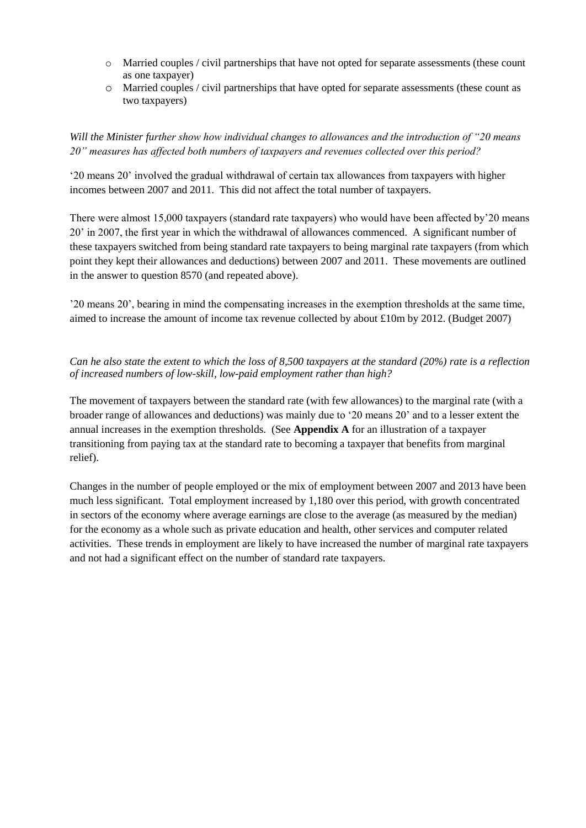- o Married couples / civil partnerships that have not opted for separate assessments (these count as one taxpayer)
- o Married couples / civil partnerships that have opted for separate assessments (these count as two taxpayers)

# *Will the Minister further show how individual changes to allowances and the introduction of "20 means 20" measures has affected both numbers of taxpayers and revenues collected over this period?*

'20 means 20' involved the gradual withdrawal of certain tax allowances from taxpayers with higher incomes between 2007 and 2011. This did not affect the total number of taxpayers.

There were almost 15,000 taxpayers (standard rate taxpayers) who would have been affected by'20 means 20' in 2007, the first year in which the withdrawal of allowances commenced. A significant number of these taxpayers switched from being standard rate taxpayers to being marginal rate taxpayers (from which point they kept their allowances and deductions) between 2007 and 2011. These movements are outlined in the answer to question 8570 (and repeated above).

'20 means 20', bearing in mind the compensating increases in the exemption thresholds at the same time, aimed to increase the amount of income tax revenue collected by about £10m by 2012. (Budget 2007)

# *Can he also state the extent to which the loss of 8,500 taxpayers at the standard (20%) rate is a reflection of increased numbers of low-skill, low-paid employment rather than high?*

The movement of taxpayers between the standard rate (with few allowances) to the marginal rate (with a broader range of allowances and deductions) was mainly due to '20 means 20' and to a lesser extent the annual increases in the exemption thresholds. (See **Appendix A** for an illustration of a taxpayer transitioning from paying tax at the standard rate to becoming a taxpayer that benefits from marginal relief).

Changes in the number of people employed or the mix of employment between 2007 and 2013 have been much less significant. Total employment increased by 1,180 over this period, with growth concentrated in sectors of the economy where average earnings are close to the average (as measured by the median) for the economy as a whole such as private education and health, other services and computer related activities. These trends in employment are likely to have increased the number of marginal rate taxpayers and not had a significant effect on the number of standard rate taxpayers.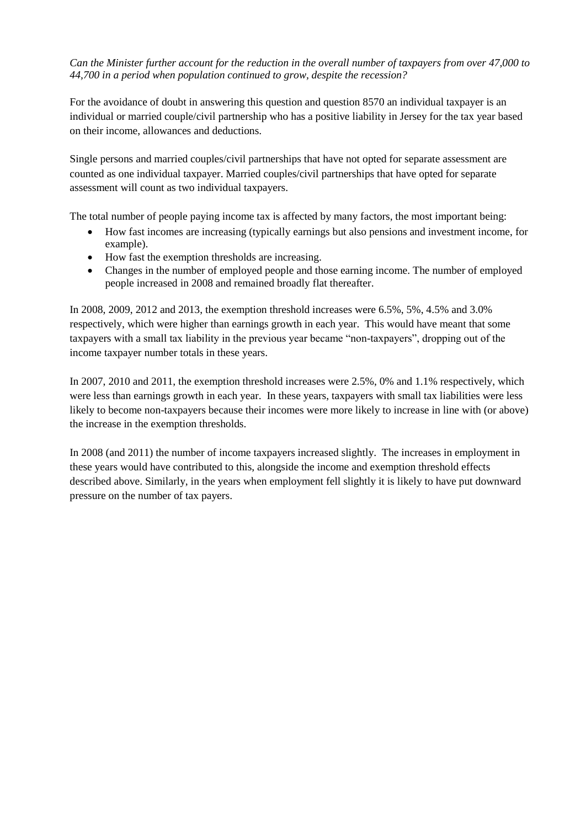*Can the Minister further account for the reduction in the overall number of taxpayers from over 47,000 to 44,700 in a period when population continued to grow, despite the recession?*

For the avoidance of doubt in answering this question and question 8570 an individual taxpayer is an individual or married couple/civil partnership who has a positive liability in Jersey for the tax year based on their income, allowances and deductions.

Single persons and married couples/civil partnerships that have not opted for separate assessment are counted as one individual taxpayer. Married couples/civil partnerships that have opted for separate assessment will count as two individual taxpayers.

The total number of people paying income tax is affected by many factors, the most important being:

- How fast incomes are increasing (typically earnings but also pensions and investment income, for example).
- How fast the exemption thresholds are increasing.
- Changes in the number of employed people and those earning income. The number of employed people increased in 2008 and remained broadly flat thereafter.

In 2008, 2009, 2012 and 2013, the exemption threshold increases were 6.5%, 5%, 4.5% and 3.0% respectively, which were higher than earnings growth in each year. This would have meant that some taxpayers with a small tax liability in the previous year became "non-taxpayers", dropping out of the income taxpayer number totals in these years.

In 2007, 2010 and 2011, the exemption threshold increases were 2.5%, 0% and 1.1% respectively, which were less than earnings growth in each year. In these years, taxpayers with small tax liabilities were less likely to become non-taxpayers because their incomes were more likely to increase in line with (or above) the increase in the exemption thresholds.

In 2008 (and 2011) the number of income taxpayers increased slightly. The increases in employment in these years would have contributed to this, alongside the income and exemption threshold effects described above. Similarly, in the years when employment fell slightly it is likely to have put downward pressure on the number of tax payers.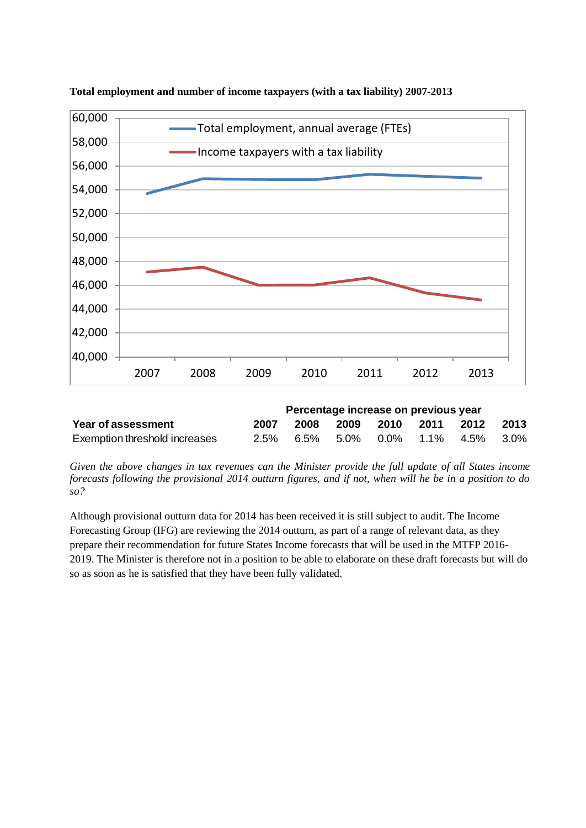

**Total employment and number of income taxpayers (with a tax liability) 2007-2013**

|                               | Percentage increase on previous year |  |  |  |  |                                    |  |  |
|-------------------------------|--------------------------------------|--|--|--|--|------------------------------------|--|--|
| Year of assessment            | 2007                                 |  |  |  |  | 2008 2009 2010 2011 2012 2013      |  |  |
| Exemption threshold increases |                                      |  |  |  |  | 2.5% 6.5% 5.0% 0.0% 1.1% 4.5% 3.0% |  |  |

*Given the above changes in tax revenues can the Minister provide the full update of all States income forecasts following the provisional 2014 outturn figures, and if not, when will he be in a position to do so?*

Although provisional outturn data for 2014 has been received it is still subject to audit. The Income Forecasting Group (IFG) are reviewing the 2014 outturn, as part of a range of relevant data, as they prepare their recommendation for future States Income forecasts that will be used in the MTFP 2016- 2019. The Minister is therefore not in a position to be able to elaborate on these draft forecasts but will do so as soon as he is satisfied that they have been fully validated.